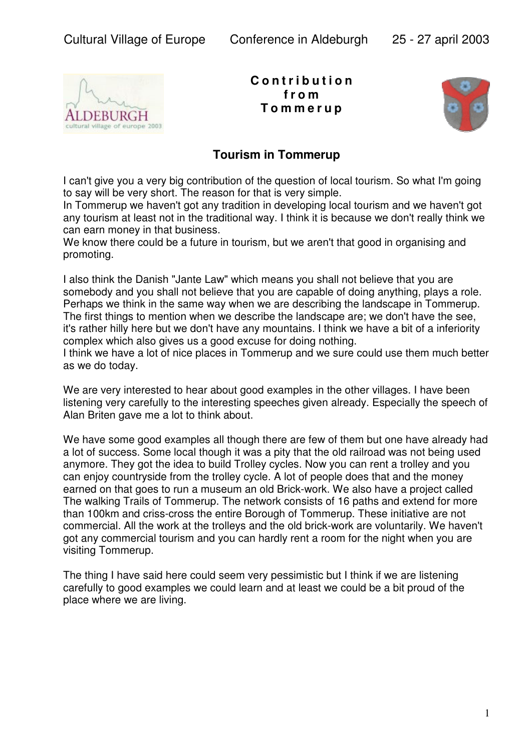

**C o n t r i b u t i o n f r o m T o m m e r u p**



## **Tourism in Tommerup**

I can't give you a very big contribution of the question of local tourism. So what I'm going to say will be very short. The reason for that is very simple.

In Tommerup we haven't got any tradition in developing local tourism and we haven't got any tourism at least not in the traditional way. I think it is because we don't really think we can earn money in that business.

We know there could be a future in tourism, but we aren't that good in organising and promoting.

I also think the Danish "Jante Law" which means you shall not believe that you are somebody and you shall not believe that you are capable of doing anything, plays a role. Perhaps we think in the same way when we are describing the landscape in Tommerup. The first things to mention when we describe the landscape are; we don't have the see, it's rather hilly here but we don't have any mountains. I think we have a bit of a inferiority complex which also gives us a good excuse for doing nothing.

I think we have a lot of nice places in Tommerup and we sure could use them much better as we do today.

We are very interested to hear about good examples in the other villages. I have been listening very carefully to the interesting speeches given already. Especially the speech of Alan Briten gave me a lot to think about.

We have some good examples all though there are few of them but one have already had a lot of success. Some local though it was a pity that the old railroad was not being used anymore. They got the idea to build Trolley cycles. Now you can rent a trolley and you can enjoy countryside from the trolley cycle. A lot of people does that and the money earned on that goes to run a museum an old Brick-work. We also have a project called The walking Trails of Tommerup. The network consists of 16 paths and extend for more than 100km and criss-cross the entire Borough of Tommerup. These initiative are not commercial. All the work at the trolleys and the old brick-work are voluntarily. We haven't got any commercial tourism and you can hardly rent a room for the night when you are visiting Tommerup.

The thing I have said here could seem very pessimistic but I think if we are listening carefully to good examples we could learn and at least we could be a bit proud of the place where we are living.